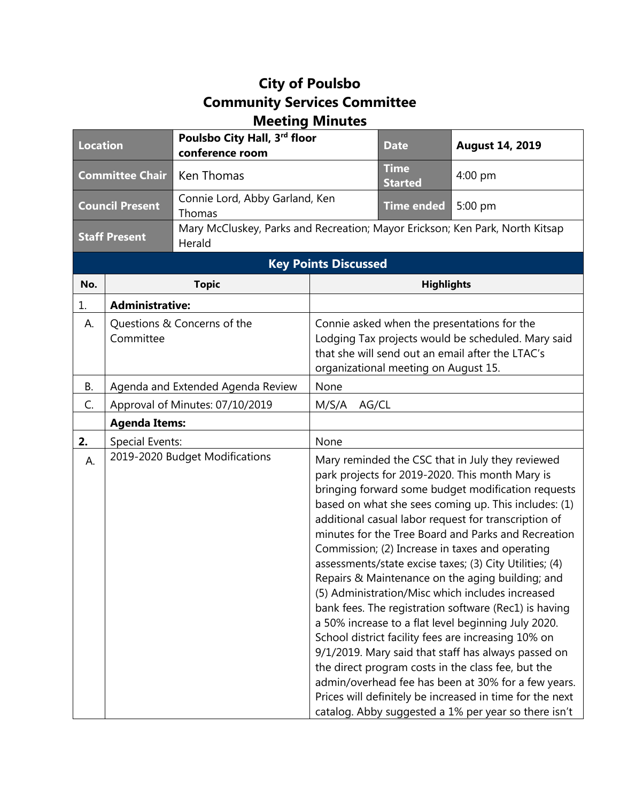## **City of Poulsbo Community Services Committee Meeting Minutes**

| <b>Location</b>        |                                   | Poulsbo City Hall, 3rd floor<br>conference room                                        |                                                                                          | <b>Date</b>                   | <b>August 14, 2019</b>                                                                                                                                                                                                                                                                                                                                                                                                                                                                                                                                                                                                                                                                                                                                                                                                                                                                                                                                                                                                |
|------------------------|-----------------------------------|----------------------------------------------------------------------------------------|------------------------------------------------------------------------------------------|-------------------------------|-----------------------------------------------------------------------------------------------------------------------------------------------------------------------------------------------------------------------------------------------------------------------------------------------------------------------------------------------------------------------------------------------------------------------------------------------------------------------------------------------------------------------------------------------------------------------------------------------------------------------------------------------------------------------------------------------------------------------------------------------------------------------------------------------------------------------------------------------------------------------------------------------------------------------------------------------------------------------------------------------------------------------|
| <b>Committee Chair</b> |                                   | Ken Thomas                                                                             |                                                                                          | <b>Time</b><br><b>Started</b> | $4:00$ pm                                                                                                                                                                                                                                                                                                                                                                                                                                                                                                                                                                                                                                                                                                                                                                                                                                                                                                                                                                                                             |
| <b>Council Present</b> |                                   | Connie Lord, Abby Garland, Ken<br>Thomas                                               |                                                                                          | Time ended                    | 5:00 pm                                                                                                                                                                                                                                                                                                                                                                                                                                                                                                                                                                                                                                                                                                                                                                                                                                                                                                                                                                                                               |
| <b>Staff Present</b>   |                                   | Mary McCluskey, Parks and Recreation; Mayor Erickson; Ken Park, North Kitsap<br>Herald |                                                                                          |                               |                                                                                                                                                                                                                                                                                                                                                                                                                                                                                                                                                                                                                                                                                                                                                                                                                                                                                                                                                                                                                       |
|                        |                                   |                                                                                        | <b>Key Points Discussed</b>                                                              |                               |                                                                                                                                                                                                                                                                                                                                                                                                                                                                                                                                                                                                                                                                                                                                                                                                                                                                                                                                                                                                                       |
| No.                    |                                   | <b>Topic</b>                                                                           |                                                                                          | <b>Highlights</b>             |                                                                                                                                                                                                                                                                                                                                                                                                                                                                                                                                                                                                                                                                                                                                                                                                                                                                                                                                                                                                                       |
| 1.                     | <b>Administrative:</b>            |                                                                                        |                                                                                          |                               |                                                                                                                                                                                                                                                                                                                                                                                                                                                                                                                                                                                                                                                                                                                                                                                                                                                                                                                                                                                                                       |
| А.                     | Questions & Concerns of the       |                                                                                        | Connie asked when the presentations for the                                              |                               |                                                                                                                                                                                                                                                                                                                                                                                                                                                                                                                                                                                                                                                                                                                                                                                                                                                                                                                                                                                                                       |
|                        | Committee                         |                                                                                        | Lodging Tax projects would be scheduled. Mary said                                       |                               |                                                                                                                                                                                                                                                                                                                                                                                                                                                                                                                                                                                                                                                                                                                                                                                                                                                                                                                                                                                                                       |
|                        |                                   |                                                                                        | that she will send out an email after the LTAC's<br>organizational meeting on August 15. |                               |                                                                                                                                                                                                                                                                                                                                                                                                                                                                                                                                                                                                                                                                                                                                                                                                                                                                                                                                                                                                                       |
| В.                     | Agenda and Extended Agenda Review |                                                                                        | None                                                                                     |                               |                                                                                                                                                                                                                                                                                                                                                                                                                                                                                                                                                                                                                                                                                                                                                                                                                                                                                                                                                                                                                       |
| C.                     | Approval of Minutes: 07/10/2019   |                                                                                        | AG/CL<br>M/S/A                                                                           |                               |                                                                                                                                                                                                                                                                                                                                                                                                                                                                                                                                                                                                                                                                                                                                                                                                                                                                                                                                                                                                                       |
|                        | <b>Agenda Items:</b>              |                                                                                        |                                                                                          |                               |                                                                                                                                                                                                                                                                                                                                                                                                                                                                                                                                                                                                                                                                                                                                                                                                                                                                                                                                                                                                                       |
| 2.                     | Special Events:                   |                                                                                        | None                                                                                     |                               |                                                                                                                                                                                                                                                                                                                                                                                                                                                                                                                                                                                                                                                                                                                                                                                                                                                                                                                                                                                                                       |
| А.                     |                                   | 2019-2020 Budget Modifications                                                         |                                                                                          |                               | Mary reminded the CSC that in July they reviewed<br>park projects for 2019-2020. This month Mary is<br>bringing forward some budget modification requests<br>based on what she sees coming up. This includes: (1)<br>additional casual labor request for transcription of<br>minutes for the Tree Board and Parks and Recreation<br>Commission; (2) Increase in taxes and operating<br>assessments/state excise taxes; (3) City Utilities; (4)<br>Repairs & Maintenance on the aging building; and<br>(5) Administration/Misc which includes increased<br>bank fees. The registration software (Rec1) is having<br>a 50% increase to a flat level beginning July 2020.<br>School district facility fees are increasing 10% on<br>9/1/2019. Mary said that staff has always passed on<br>the direct program costs in the class fee, but the<br>admin/overhead fee has been at 30% for a few years.<br>Prices will definitely be increased in time for the next<br>catalog. Abby suggested a 1% per year so there isn't |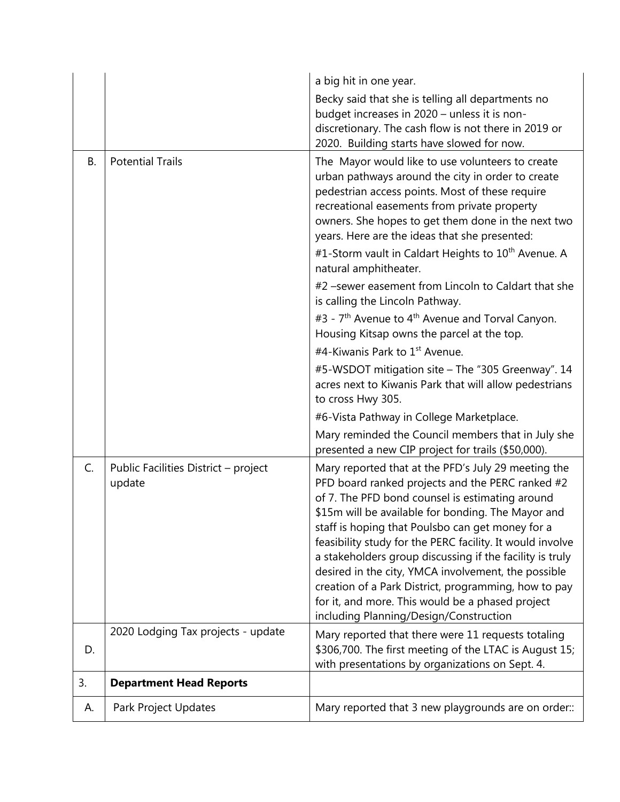|           |                                                | a big hit in one year.                                                                                                                                                                                                                                                                                                                                                                                                                                                                                                                                                                                     |
|-----------|------------------------------------------------|------------------------------------------------------------------------------------------------------------------------------------------------------------------------------------------------------------------------------------------------------------------------------------------------------------------------------------------------------------------------------------------------------------------------------------------------------------------------------------------------------------------------------------------------------------------------------------------------------------|
|           |                                                | Becky said that she is telling all departments no<br>budget increases in 2020 - unless it is non-<br>discretionary. The cash flow is not there in 2019 or<br>2020. Building starts have slowed for now.                                                                                                                                                                                                                                                                                                                                                                                                    |
| <b>B.</b> | <b>Potential Trails</b>                        | The Mayor would like to use volunteers to create<br>urban pathways around the city in order to create<br>pedestrian access points. Most of these require<br>recreational easements from private property<br>owners. She hopes to get them done in the next two<br>years. Here are the ideas that she presented:<br>#1-Storm vault in Caldart Heights to 10 <sup>th</sup> Avenue. A<br>natural amphitheater.                                                                                                                                                                                                |
|           |                                                | #2 -sewer easement from Lincoln to Caldart that she<br>is calling the Lincoln Pathway.                                                                                                                                                                                                                                                                                                                                                                                                                                                                                                                     |
|           |                                                | #3 - 7 <sup>th</sup> Avenue to 4 <sup>th</sup> Avenue and Torval Canyon.<br>Housing Kitsap owns the parcel at the top.                                                                                                                                                                                                                                                                                                                                                                                                                                                                                     |
|           |                                                | #4-Kiwanis Park to 1 <sup>st</sup> Avenue.                                                                                                                                                                                                                                                                                                                                                                                                                                                                                                                                                                 |
|           |                                                | #5-WSDOT mitigation site - The "305 Greenway". 14<br>acres next to Kiwanis Park that will allow pedestrians<br>to cross Hwy 305.                                                                                                                                                                                                                                                                                                                                                                                                                                                                           |
|           |                                                | #6-Vista Pathway in College Marketplace.                                                                                                                                                                                                                                                                                                                                                                                                                                                                                                                                                                   |
|           |                                                | Mary reminded the Council members that in July she<br>presented a new CIP project for trails (\$50,000).                                                                                                                                                                                                                                                                                                                                                                                                                                                                                                   |
| C.        | Public Facilities District - project<br>update | Mary reported that at the PFD's July 29 meeting the<br>PFD board ranked projects and the PERC ranked #2<br>of 7. The PFD bond counsel is estimating around<br>\$15m will be available for bonding. The Mayor and<br>staff is hoping that Poulsbo can get money for a<br>feasibility study for the PERC facility. It would involve<br>a stakeholders group discussing if the facility is truly<br>desired in the city, YMCA involvement, the possible<br>creation of a Park District, programming, how to pay<br>for it, and more. This would be a phased project<br>including Planning/Design/Construction |
| D.        | 2020 Lodging Tax projects - update             | Mary reported that there were 11 requests totaling<br>\$306,700. The first meeting of the LTAC is August 15;<br>with presentations by organizations on Sept. 4.                                                                                                                                                                                                                                                                                                                                                                                                                                            |
| 3.        | <b>Department Head Reports</b>                 |                                                                                                                                                                                                                                                                                                                                                                                                                                                                                                                                                                                                            |
| А.        | Park Project Updates                           | Mary reported that 3 new playgrounds are on order::                                                                                                                                                                                                                                                                                                                                                                                                                                                                                                                                                        |